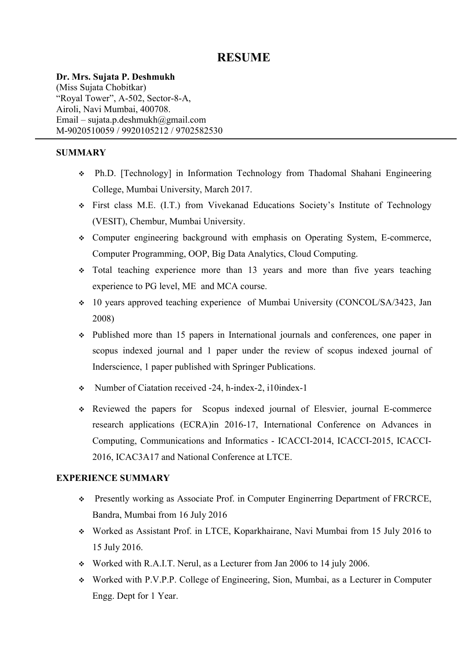# **RESUME**

**Dr. Mrs. Sujata P. Deshmukh** 

(Miss Sujata Chobitkar) "Royal Tower", A-502, Sector-8-A, Airoli, Navi Mumbai, 400708. Email – sujata.p.deshmukh@gmail.com M-9020510059 / 9920105212 / 9702582530

## **SUMMARY**

- v Ph.D. [Technology] in Information Technology from Thadomal Shahani Engineering College, Mumbai University, March 2017.
- v First class M.E. (I.T.) from Vivekanad Educations Society's Institute of Technology (VESIT), Chembur, Mumbai University.
- v Computer engineering background with emphasis on Operating System, E-commerce, Computer Programming, OOP, Big Data Analytics, Cloud Computing.
- $\div$  Total teaching experience more than 13 years and more than five years teaching experience to PG level, ME and MCA course.
- v 10 years approved teaching experience of Mumbai University (CONCOL/SA/3423, Jan 2008)
- v Published more than 15 papers in International journals and conferences, one paper in scopus indexed journal and 1 paper under the review of scopus indexed journal of Inderscience, 1 paper published with Springer Publications.
- v Number of Ciatation received -24, h-index-2, i10index-1
- v Reviewed the papers for Scopus indexed journal of Elesvier, journal E-commerce research applications (ECRA)in 2016-17, International Conference on Advances in Computing, Communications and Informatics - ICACCI-2014, ICACCI-2015, ICACCI-2016, ICAC3A17 and National Conference at LTCE.

## **EXPERIENCE SUMMARY**

- \* Presently working as Associate Prof. in Computer Enginerring Department of FRCRCE, Bandra, Mumbai from 16 July 2016
- v Worked as Assistant Prof. in LTCE, Koparkhairane, Navi Mumbai from 15 July 2016 to 15 July 2016.
- v Worked with R.A.I.T. Nerul, as a Lecturer from Jan 2006 to 14 july 2006.
- v Worked with P.V.P.P. College of Engineering, Sion, Mumbai, as a Lecturer in Computer Engg. Dept for 1 Year.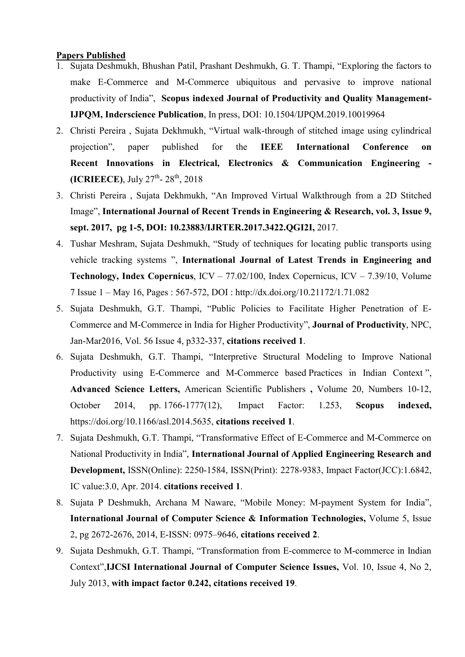#### **Papers Published**

- 1. Sujata Deshmukh, Bhushan Patil, Prashant Deshmukh, G. T. Thampi, "Exploring the factors to make E-Commerce and M-Commerce ubiquitous and pervasive to improve national productivity of India", **Scopus indexed Journal of Productivity and Quality Management-IJPQM, Inderscience Publication**, In press, DOI: 10.1504/IJPQM.2019.10019964
- 2. Christi Pereira , Sujata Dekhmukh, "Virtual walk-through of stitched image using cylindrical projection", paper published for the **IEEE International Conference on Recent Innovations in Electrical, Electronics & Communication Engineering - (ICRIEECE)**, July 27<sup>th</sup>- 28<sup>th</sup>, 2018
- 3. Christi Pereira , Sujata Dekhmukh, "An Improved Virtual Walkthrough from a 2D Stitched Image", **International Journal of Recent Trends in Engineering & Research, vol. 3, Issue 9, sept. 2017, pg 1-5, DOI: 10.23883/IJRTER.2017.3422.QGI2I,** 2017.
- 4. Tushar Meshram, Sujata Deshmukh, "Study of techniques for locating public transports using vehicle tracking systems ", **International Journal of Latest Trends in Engineering and Technology, Index Copernicus**, ICV – 77.02/100, Index Copernicus, ICV – 7.39/10, Volume 7 Issue 1 – May 16, Pages : 567-572, DOI : http://dx.doi.org/10.21172/1.71.082
- 5. Sujata Deshmukh, G.T. Thampi, "Public Policies to Facilitate Higher Penetration of E-Commerce and M-Commerce in India for Higher Productivity", **Journal of Productivity**, NPC, Jan-Mar2016, Vol. 56 Issue 4, p332-337, **citations received 1**.
- 6. Sujata Deshmukh, G.T. Thampi, "Interpretive Structural Modeling to Improve National Productivity using E-Commerce and M-Commerce based Practices in Indian Context", **Advanced Science Letters,** American Scientific Publishers **,** Volume 20, Numbers 10-12, October 2014, pp. 1766-1777(12), Impact Factor: 1.253, **Scopus indexed,**  https://doi.org/10.1166/asl.2014.5635, **citations received 1**.
- 7. Sujata Deshmukh, G.T. Thampi, "Transformative Effect of E-Commerce and M-Commerce on National Productivity in India", **International Journal of Applied Engineering Research and Development,** ISSN(Online): 2250-1584, ISSN(Print): 2278-9383, Impact Factor(JCC):1.6842, IC value:3.0, Apr. 2014. **citations received 1**.
- 8. Sujata P Deshmukh, Archana M Naware, "Mobile Money: M-payment System for India", **International Journal of Computer Science & Information Technologies,** Volume 5, Issue 2, pg 2672-2676, 2014, E-ISSN: 0975–9646, **citations received 2**.
- 9. Sujata Deshmukh, G.T. Thampi, "Transformation from E-commerce to M-commerce in Indian Context",**IJCSI International Journal of Computer Science Issues,** Vol. 10, Issue 4, No 2, July 2013, **with impact factor 0.242, citations received 19**.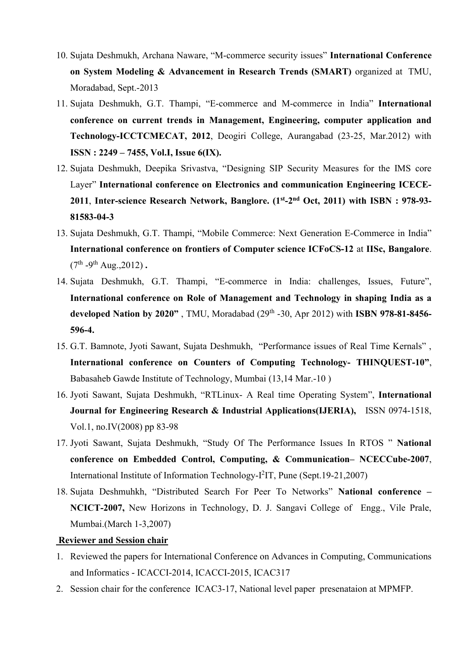- 10. Sujata Deshmukh, Archana Naware, "M-commerce security issues" **International Conference on System Modeling & Advancement in Research Trends (SMART)** organized at TMU, Moradabad, Sept.-2013
- 11. Sujata Deshmukh, G.T. Thampi, "E-commerce and M-commerce in India" **International conference on current trends in Management, Engineering, computer application and Technology-ICCTCMECAT, 2012**, Deogiri College, Aurangabad (23-25, Mar.2012) with **ISSN : 2249 – 7455, Vol.I, Issue 6(IX).**
- 12. Sujata Deshmukh, Deepika Srivastva, "Designing SIP Security Measures for the IMS core Layer" **International conference on Electronics and communication Engineering ICECE-2011**, **Inter-science Research Network, Banglore. (1st-2nd Oct, 2011) with ISBN : 978-93- 81583-04-3**
- 13. Sujata Deshmukh, G.T. Thampi, "Mobile Commerce: Next Generation E-Commerce in India" **International conference on frontiers of Computer science ICFoCS-12** at **IISc, Bangalore**.  $(7^{th} -9^{th} \text{Aug.}, 2012)$ .
- 14. Sujata Deshmukh, G.T. Thampi, "E-commerce in India: challenges, Issues, Future", **International conference on Role of Management and Technology in shaping India as a developed Nation by 2020"** , TMU, Moradabad (29th -30, Apr 2012) with **ISBN 978-81-8456- 596-4.**
- 15. G.T. Bamnote, Jyoti Sawant, Sujata Deshmukh, "Performance issues of Real Time Kernals" , **International conference on Counters of Computing Technology- THINQUEST-10"**, Babasaheb Gawde Institute of Technology, Mumbai (13,14 Mar.-10 )
- 16. Jyoti Sawant, Sujata Deshmukh, "RTLinux- A Real time Operating System", **International Journal for Engineering Research & Industrial Applications(IJERIA),** ISSN 0974-1518, Vol.1, no.IV(2008) pp 83-98
- 17. Jyoti Sawant, Sujata Deshmukh, "Study Of The Performance Issues In RTOS " **National conference on Embedded Control, Computing, & Communication– NCECCube-2007**, International Institute of Information Technology-I<sup>2</sup>IT, Pune (Sept.19-21,2007)
- 18. Sujata Deshmuhkh, "Distributed Search For Peer To Networks" **National conference – NCICT-2007,** New Horizons in Technology, D. J. Sangavi College of Engg., Vile Prale, Mumbai.(March 1-3,2007)

#### **Reviewer and Session chair**

- 1. Reviewed the papers for International Conference on Advances in Computing, Communications and Informatics - ICACCI-2014, ICACCI-2015, ICAC317
- 2. Session chair for the conference ICAC3-17, National level paper presenataion at MPMFP.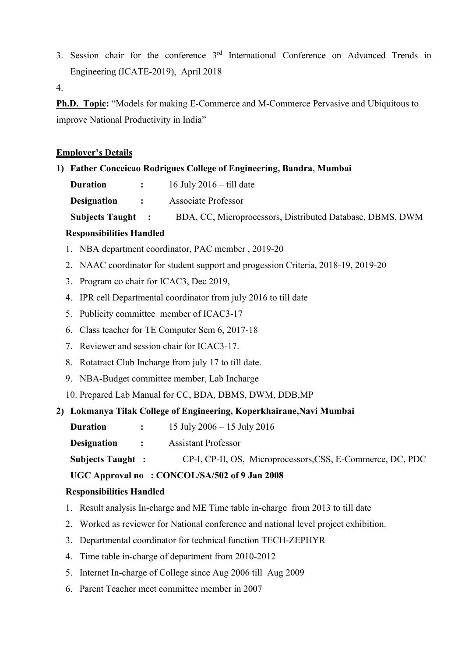3. Session chair for the conference 3rd International Conference on Advanced Trends in Engineering (ICATE-2019), April 2018

4.

**Ph.D. Topic:** "Models for making E-Commerce and M-Commerce Pervasive and Ubiquitous to improve National Productivity in India"

## **Employer's Details**

#### **1) Father Conceicao Rodrigues College of Engineering, Bandra, Mumbai**

| <b>Duration</b> | 16 July $2016 -$ till date |
|-----------------|----------------------------|
|-----------------|----------------------------|

**Designation :** Associate Professor

**Subjects Taught :** BDA, CC, Microprocessors, Distributed Database, DBMS, DWM

### **Responsibilities Handled**

- 1. NBA department coordinator, PAC member , 2019-20
- 2. NAAC coordinator for student support and progession Criteria, 2018-19, 2019-20
- 3. Program co chair for ICAC3, Dec 2019,
- 4. IPR cell Departmental coordinator from july 2016 to till date
- 5. Publicity committee member of ICAC3-17
- 6. Class teacher for TE Computer Sem 6, 2017-18
- 7. Reviewer and session chair for ICAC3-17.
- 8. Rotatract Club Incharge from july 17 to till date.
- 9. NBA-Budget committee member, Lab Incharge
- 10. Prepared Lab Manual for CC, BDA, DBMS, DWM, DDB,MP

### **2) Lokmanya Tilak College of Engineering, Koperkhairane,Navi Mumbai**

**Duration** : 15 July 2006 – 15 July 2016

**Designation :** Assistant Professor

```
Subjects Taught : CP-I, CP-II, OS, Microprocessors,CSS, E-Commerce, DC, PDC
```
**UGC Approval no : CONCOL/SA/502 of 9 Jan 2008**

## **Responsibilities Handled**

- 1. Result analysis In-charge and ME Time table in-charge from 2013 to till date
- 2. Worked as reviewer for National conference and national level project exhibition.
- 3. Departmental coordinator for technical function TECH-ZEPHYR
- 4. Time table in-charge of department from 2010-2012
- 5. Internet In-charge of College since Aug 2006 till Aug 2009
- 6. Parent Teacher meet committee member in 2007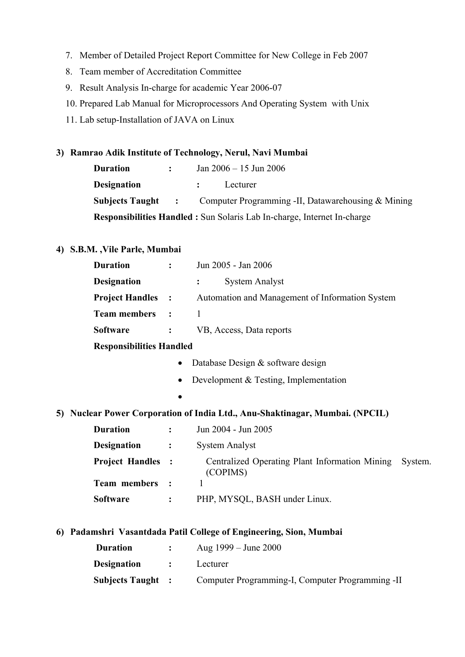- 7. Member of Detailed Project Report Committee for New College in Feb 2007
- 8. Team member of Accreditation Committee
- 9. Result Analysis In-charge for academic Year 2006-07
- 10. Prepared Lab Manual for Microprocessors And Operating System with Unix
- 11. Lab setup-Installation of JAVA on Linux

## **3) Ramrao Adik Institute of Technology, Nerul, Navi Mumbai**

| <b>Duration</b>                                                                | $\mathbf{L}$ | Jan $2006 - 15$ Jun $2006$                                                  |
|--------------------------------------------------------------------------------|--------------|-----------------------------------------------------------------------------|
| <b>Designation</b>                                                             |              | Lecturer                                                                    |
|                                                                                |              | <b>Subjects Taught :</b> Computer Programming -II, Datawarehousing & Mining |
| <b>Responsibilities Handled:</b> Sun Solaris Lab In-charge, Internet In-charge |              |                                                                             |

### **4) S.B.M. ,Vile Parle, Mumbai**

| <b>Duration</b>    | $\ddot{\cdot}$                        | Jun 2005 - Jan 2006                                                          |         |
|--------------------|---------------------------------------|------------------------------------------------------------------------------|---------|
| <b>Designation</b> |                                       | <b>System Analyst</b>                                                        |         |
|                    | <b>Project Handles :</b>              | Automation and Management of Information System                              |         |
|                    | <b>Team members</b><br>$\ddot{\cdot}$ | $\mathbf{1}$                                                                 |         |
| <b>Software</b>    | $\ddot{\cdot}$                        | VB, Access, Data reports                                                     |         |
|                    | <b>Responsibilities Handled</b>       |                                                                              |         |
|                    |                                       | Database Design & software design                                            |         |
|                    |                                       | Development & Testing, Implementation                                        |         |
|                    |                                       |                                                                              |         |
|                    |                                       | 5) Nuclear Power Corporation of India Ltd., Anu-Shaktinagar, Mumbai. (NPCIL) |         |
| <b>Duration</b>    | $\ddot{\cdot}$                        | Jun 2004 - Jun 2005                                                          |         |
| <b>Designation</b> | $\ddot{\cdot}$                        | <b>System Analyst</b>                                                        |         |
|                    | <b>Project Handles :</b>              | Centralized Operating Plant Information Mining<br>(COPIMS)                   | System. |
|                    | Team members<br>$\ddot{\cdot}$        | 1                                                                            |         |
| <b>Software</b>    | $\ddot{\cdot}$                        | PHP, MYSQL, BASH under Linux.                                                |         |
| 6                  |                                       | Padamshri Vasantdada Patil College of Engineering, Sion, Mumbai              |         |
|                    |                                       | $\mathbf{D}$                                                                 |         |

| Duration                 |                      | Aug $1999 - J$ une $2000$                        |
|--------------------------|----------------------|--------------------------------------------------|
| <b>Designation</b>       | $\ddot{\phantom{0}}$ | Lecturer                                         |
| <b>Subjects Taught :</b> |                      | Computer Programming-I, Computer Programming -II |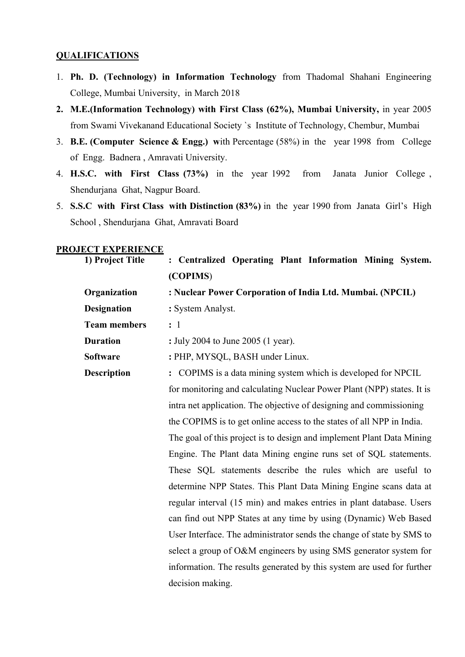#### **QUALIFICATIONS**

- 1. **Ph. D. (Technology) in Information Technology** from Thadomal Shahani Engineering College, Mumbai University, in March 2018
- **2. M.E.(Information Technology) with First Class (62%), Mumbai University,** in year 2005 from Swami Vivekanand Educational Society `s Institute of Technology, Chembur, Mumbai
- 3. **B.E. (Computer Science & Engg.) w**ith Percentage (58%) in the year 1998 from College of Engg. Badnera , Amravati University.
- 4. **H.S.C. with First Class (73%)** in the year 1992 from Janata Junior College , Shendurjana Ghat, Nagpur Board.
- 5. **S.S.C with First Class with Distinction (83%)** in the year 1990 from Janata Girl's High School , Shendurjana Ghat, Amravati Board

#### **PROJECT EXPERIENCE**

| 1) Project Title    | : Centralized Operating Plant Information Mining System.               |
|---------------------|------------------------------------------------------------------------|
|                     | (COPIMS)                                                               |
| Organization        | : Nuclear Power Corporation of India Ltd. Mumbai. (NPCIL)              |
| <b>Designation</b>  | : System Analyst.                                                      |
| <b>Team members</b> | $\colon$ 1                                                             |
| <b>Duration</b>     | : July 2004 to June 2005 (1 year).                                     |
| <b>Software</b>     | : PHP, MYSQL, BASH under Linux.                                        |
| <b>Description</b>  | : COPIMS is a data mining system which is developed for NPCIL          |
|                     | for monitoring and calculating Nuclear Power Plant (NPP) states. It is |
|                     | intra net application. The objective of designing and commissioning    |
|                     | the COPIMS is to get online access to the states of all NPP in India.  |
|                     | The goal of this project is to design and implement Plant Data Mining  |
|                     | Engine. The Plant data Mining engine runs set of SQL statements.       |
|                     | These SQL statements describe the rules which are useful to            |
|                     | determine NPP States. This Plant Data Mining Engine scans data at      |
|                     | regular interval (15 min) and makes entries in plant database. Users   |
|                     | can find out NPP States at any time by using (Dynamic) Web Based       |
|                     | User Interface. The administrator sends the change of state by SMS to  |
|                     | select a group of O&M engineers by using SMS generator system for      |
|                     | information. The results generated by this system are used for further |
|                     | decision making.                                                       |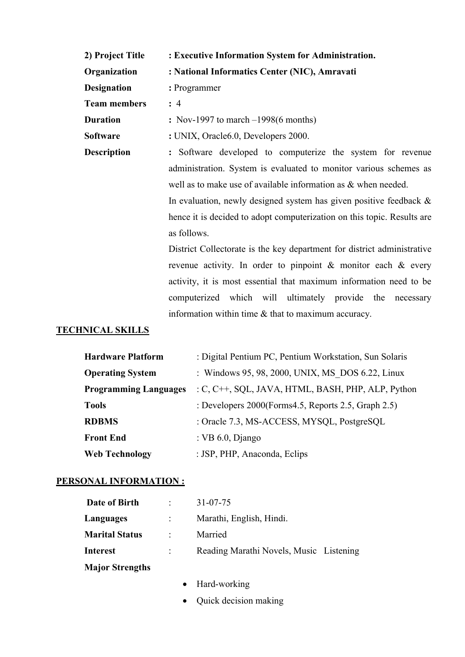| 2) Project Title    | : Executive Information System for Administration.                                                                                                            |  |  |  |
|---------------------|---------------------------------------------------------------------------------------------------------------------------------------------------------------|--|--|--|
| Organization        | : National Informatics Center (NIC), Amravati                                                                                                                 |  |  |  |
| <b>Designation</b>  | : Programmer                                                                                                                                                  |  |  |  |
| <b>Team members</b> | : 4                                                                                                                                                           |  |  |  |
| <b>Duration</b>     | $:$ Nov-1997 to march $-1998(6 \text{ months})$                                                                                                               |  |  |  |
| Software            | : UNIX, Oracle6.0, Developers 2000.                                                                                                                           |  |  |  |
| <b>Description</b>  | : Software developed to computerize the system for revenue                                                                                                    |  |  |  |
|                     | administration. System is evaluated to monitor various schemes as<br>well as to make use of available information as & when needed.                           |  |  |  |
|                     |                                                                                                                                                               |  |  |  |
|                     | In evaluation, newly designed system has given positive feedback &<br>hence it is decided to adopt computerization on this topic. Results are                 |  |  |  |
|                     |                                                                                                                                                               |  |  |  |
|                     | as follows.<br>District Collectorate is the key department for district administrative<br>revenue activity. In order to pinpoint $\&$ monitor each $\&$ every |  |  |  |
|                     |                                                                                                                                                               |  |  |  |
|                     |                                                                                                                                                               |  |  |  |
|                     | activity, it is most essential that maximum information need to be                                                                                            |  |  |  |
|                     | computerized which will ultimately provide the<br>necessary                                                                                                   |  |  |  |
|                     | information within time $\&$ that to maximum accuracy.                                                                                                        |  |  |  |

# **TECHNICAL SKILLS**

| <b>Hardware Platform</b>     | : Digital Pentium PC, Pentium Workstation, Sun Solaris  |
|------------------------------|---------------------------------------------------------|
| <b>Operating System</b>      | : Windows 95, 98, 2000, UNIX, MS DOS 6.22, Linux        |
| <b>Programming Languages</b> | : C, C++, SQL, JAVA, HTML, BASH, PHP, ALP, Python       |
| <b>Tools</b>                 | : Developers $2000$ (Forms 4.5, Reports 2.5, Graph 2.5) |
| <b>RDBMS</b>                 | : Oracle 7.3, MS-ACCESS, MYSQL, PostgreSQL              |
| <b>Front End</b>             | : VB $6.0$ , Django                                     |
| <b>Web Technology</b>        | : JSP, PHP, Anaconda, Eclips                            |

# **PERSONAL INFORMATION :**

| Date of Birth          | $\mathbb{R}$   | $31 - 07 - 75$                          |
|------------------------|----------------|-----------------------------------------|
| Languages              |                | Marathi, English, Hindi.                |
| <b>Marital Status</b>  | $\mathbb{R}^n$ | Married                                 |
| <b>Interest</b>        | $\mathbb{R}^n$ | Reading Marathi Novels, Music Listening |
| <b>Major Strengths</b> |                |                                         |

- ∑ Hard-working
- Quick decision making